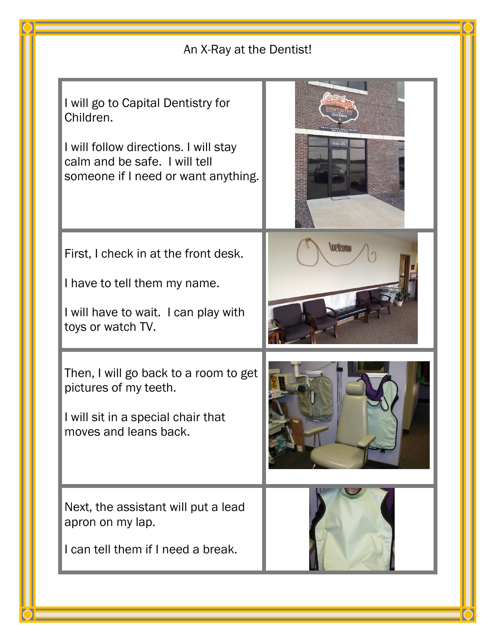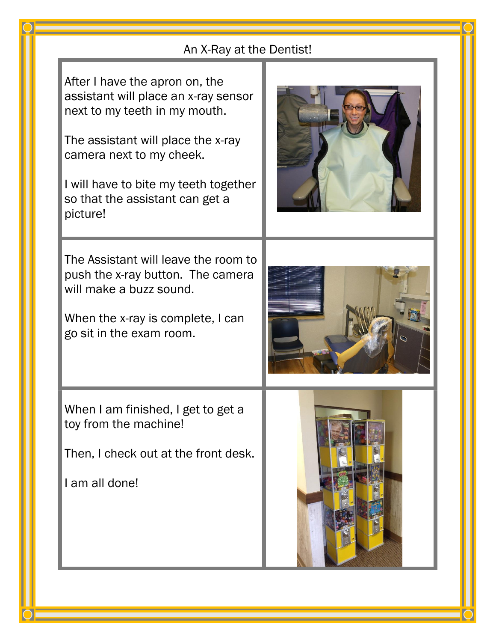| An X-Ray at the Dentist!                                                                                                                                                                                                                                          |  |
|-------------------------------------------------------------------------------------------------------------------------------------------------------------------------------------------------------------------------------------------------------------------|--|
| After I have the apron on, the<br>assistant will place an x-ray sensor<br>next to my teeth in my mouth.<br>The assistant will place the x-ray<br>camera next to my cheek.<br>I will have to bite my teeth together<br>so that the assistant can get a<br>picture! |  |
| The Assistant will leave the room to<br>push the x-ray button. The camera<br>will make a buzz sound.<br>When the x-ray is complete, I can<br>go sit in the exam room.                                                                                             |  |
| When I am finished, I get to get a<br>toy from the machine!<br>Then, I check out at the front desk.<br>I am all done!                                                                                                                                             |  |